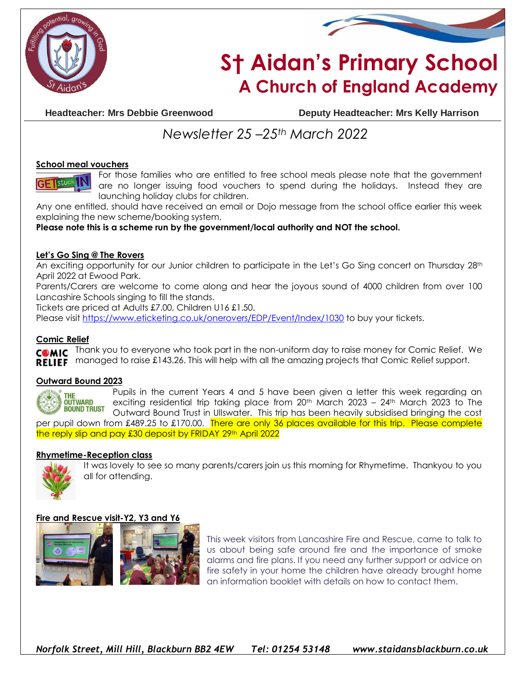



# **S† Aidan's Primary School A Church of England Academy**

**Headteacher: Mrs Debbie Greenwood Deputy Headteacher: Mrs Kelly Harrison**

# *Newsletter 25 –25th March 2022*

#### **School meal vouchers**

For those families who are entitled to free school meals please note that the government are no longer issuing food vouchers to spend during the holidays. Instead they are launching holiday clubs for children.

Any one entitled, should have received an email or Dojo message from the school office earlier this week explaining the new scheme/booking system.

**Please note this is a scheme run by the government/local authority and NOT the school.**

# **Let's Go Sing @ The Rovers**

An exciting opportunity for our Junior children to participate in the Let's Go Sing concert on Thursday 28th April 2022 at Ewood Park.

Parents/Carers are welcome to come along and hear the joyous sound of 4000 children from over 100 Lancashire Schools singing to fill the stands.

Tickets are priced at Adults £7.00, Children U16 £1.50.

Please visit<https://www.eticketing.co.uk/onerovers/EDP/Event/Index/1030> to buy your tickets.

#### **Comic Relief**

Thank you to everyone who took part in the non-uniform day to raise money for Comic Relief. We **COMIC** RELIEF managed to raise £143.26. This will help with all the amazing projects that Comic Relief support.

#### **Outward Bound 2023**



Pupils in the current Years 4 and 5 have been given a letter this week regarding an exciting residential trip taking place from  $20<sup>th</sup>$  March  $2023 - 24<sup>th</sup>$  March 2023 to The Outward Bound Trust in Ullswater. This trip has been heavily subsidised bringing the cost

per pupil down from £489.25 to £170.00. There are only 36 places available for this trip. Please complete the reply slip and pay £30 deposit by FRIDAY 29th April 2022

#### **Rhymetime-Reception class**



It was lovely to see so many parents/carers join us this morning for Rhymetime. Thankyou to you all for attending.

#### **Fire and Rescue visit-Y2, Y3 and Y6**



This week visitors from Lancashire Fire and Rescue, came to talk to us about being safe around fire and the importance of smoke alarms and fire plans. If you need any further support or advice on fire safety in your home the children have already brought home an information booklet with details on how to contact them.

*Norfolk Street, Mill Hill, Blackburn BB2 4EW Tel: 01254 53148 www.staidansblackburn.co.uk*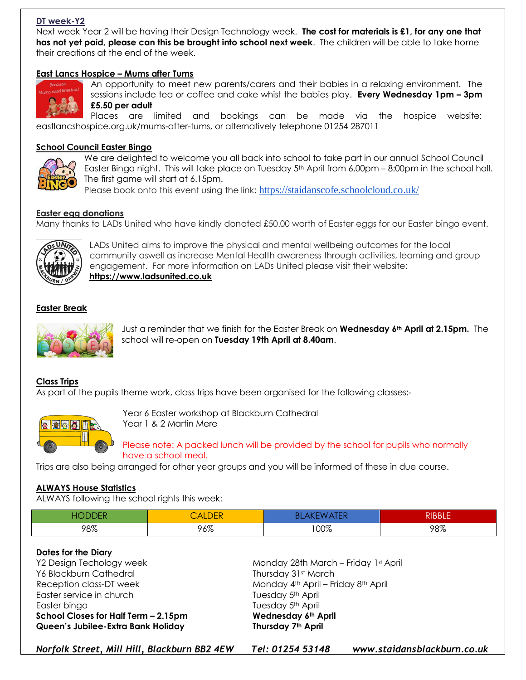# **DT week-Y2**

Next week Year 2 will be having their Design Technology week. **The cost for materials is £1, for any one that has not yet paid, please can this be brought into school next week**. The children will be able to take home their creations at the end of the week.

#### **East Lancs Hospice – Mums after Tums**



An opportunity to meet new parents/carers and their babies in a relaxing environment. The sessions include tea or coffee and cake whist the babies play. **Every Wednesday 1pm – 3pm £5.50 per adult**

Places are limited and bookings can be made via the hospice website: eastlancshospice.org.uk/mums-after-tums, or alternatively telephone 01254 287011

#### **School Council Easter Bingo**



We are delighted to welcome you all back into school to take part in our annual School Council Easter Bingo night. This will take place on Tuesday 5th April from 6.00pm – 8:00pm in the school hall. The first game will start at 6.15pm.

Please book onto this event using the link: <https://staidanscofe.schoolcloud.co.uk/>

#### **Easter egg donations**

Many thanks to LADs United who have kindly donated £50.00 worth of Easter eggs for our Easter bingo event.



LADs United aims to improve the physical and mental wellbeing outcomes for the local community aswell as increase Mental Health awareness through activities, learning and group engagement. For more information on LADs United please visit their website: **[https://www.ladsunited.co.uk](https://www.ladsunited.co.uk/)** 

#### **Easter Break**



Just a reminder that we finish for the Easter Break on **Wednesday 6th April at 2.15pm.** The school will re-open on **Tuesday 19th April at 8.40am**.

#### **Class Trips**

As part of the pupils theme work, class trips have been organised for the following classes:-



Year 6 Easter workshop at Blackburn Cathedral Year 1 & 2 Martin Mere

Please note: A packed lunch will be provided by the school for pupils who normally have a school meal.

Trips are also being arranged for other year groups and you will be informed of these in due course.

#### **ALWAYS House Statistics**

ALWAYS following the school rights this week:

| AС<br><b>JDDER</b> | $\begin{array}{ll}\n\textsf{CALDER}\n\end{array}$ | ΒL<br>AK.<br>NEN | $\n  PIBB$ |
|--------------------|---------------------------------------------------|------------------|------------|
| 98%                | 96%                                               | 100%             | 98%        |

#### **Dates for the Diary**

Y6 Blackburn Cathedral Thursday 31st March Easter service in church Tuesday 5<sup>th</sup> April Easter bingo **Tuesday 5th April School Closes for Half Term – 2.15pm Wednesday 6th April Queen's Jubilee-Extra Bank Holiday Thursday 7th April**

Y2 Design Techology week Monday 28th March – Friday 1st April Reception class-DT week Monday 4th April – Friday 8th April

*Norfolk Street, Mill Hill, Blackburn BB2 4EW Tel: 01254 53148 www.staidansblackburn.co.uk*